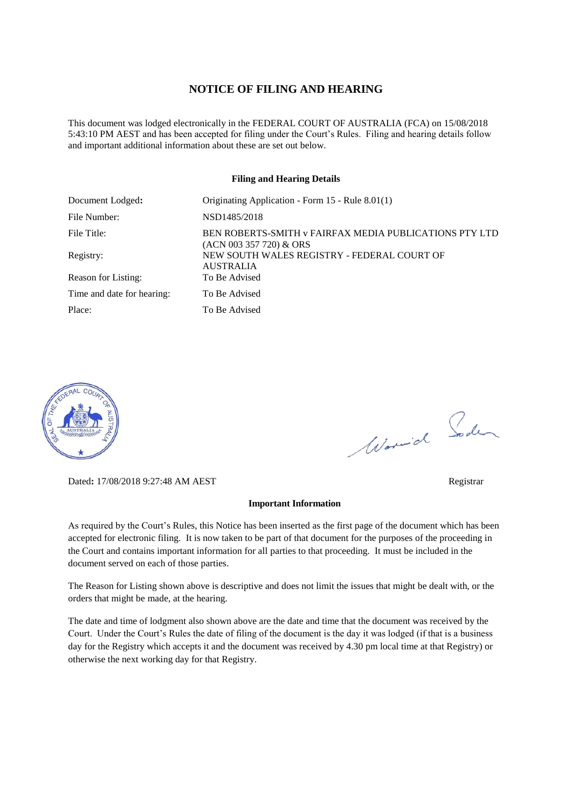#### **NOTICE OF FILING AND HEARING**

This document was lodged electronically in the FEDERAL COURT OF AUSTRALIA (FCA) on 15/08/2018 5:43:10 PM AEST and has been accepted for filing under the Court's Rules. Filing and hearing details follow and important additional information about these are set out below.

#### **Filing and Hearing Details**

| Document Lodged:           | Originating Application - Form 15 - Rule 8.01(1)                                    |
|----------------------------|-------------------------------------------------------------------------------------|
| File Number:               | NSD1485/2018                                                                        |
| File Title:                | BEN ROBERTS-SMITH v FAIRFAX MEDIA PUBLICATIONS PTY LTD<br>$(ACN 003 357 720)$ & ORS |
| Registry:                  | NEW SOUTH WALES REGISTRY - FEDERAL COURT OF<br><b>AUSTRALIA</b>                     |
| Reason for Listing:        | To Be Advised                                                                       |
| Time and date for hearing: | To Be Advised                                                                       |
| Place:                     | To Be Advised                                                                       |



Dated**:** 17/08/2018 9:27:48 AM AEST Registrar

#### **Important Information**

As required by the Court's Rules, this Notice has been inserted as the first page of the document which has been accepted for electronic filing. It is now taken to be part of that document for the purposes of the proceeding in the Court and contains important information for all parties to that proceeding. It must be included in the document served on each of those parties.

The Reason for Listing shown above is descriptive and does not limit the issues that might be dealt with, or the orders that might be made, at the hearing.

The date and time of lodgment also shown above are the date and time that the document was received by the Court. Under the Court's Rules the date of filing of the document is the day it was lodged (if that is a business day for the Registry which accepts it and the document was received by 4.30 pm local time at that Registry) or otherwise the next working day for that Registry.

Worwich Soden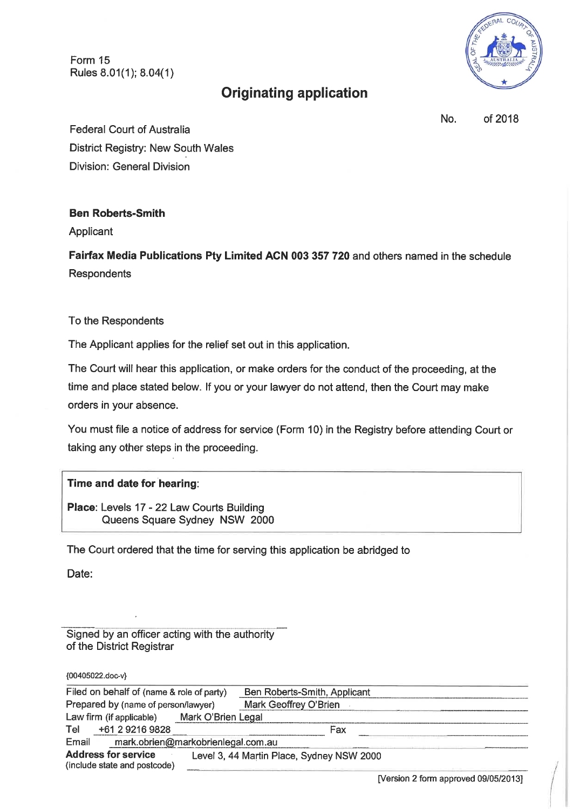Form 15 Rules 8.01(1); 8.04(1)



# **Originating application**

No. of 2018

**Federal Court of Australia District Registry: New South Wales Division: General Division** 

### **Ben Roberts-Smith**

Applicant

Fairfax Media Publications Pty Limited ACN 003 357 720 and others named in the schedule Respondents

To the Respondents

The Applicant applies for the relief set out in this application.

The Court will hear this application, or make orders for the conduct of the proceeding, at the time and place stated below. If you or your lawyer do not attend, then the Court may make orders in your absence.

You must file a notice of address for service (Form 10) in the Registry before attending Court or taking any other steps in the proceeding.

## Time and date for hearing:

Place: Levels 17 - 22 Law Courts Building Queens Square Sydney NSW 2000

The Court ordered that the time for serving this application be abridged to

Date:

Signed by an officer acting with the authority of the District Registrar

{00405022.doc-v}

| Filed on behalf of (name & role of party)                  |                    | Ben Roberts-Smith, Applicant              |  |
|------------------------------------------------------------|--------------------|-------------------------------------------|--|
| Prepared by (name of person/lawyer)                        |                    | Mark Geoffrey O'Brien                     |  |
| Law firm (if applicable)                                   | Mark O'Brien Legal |                                           |  |
| +61 2 9216 9828<br>Tel                                     |                    | Fax                                       |  |
| mark.obrien@markobrienlegal.com.au<br>Email                |                    |                                           |  |
| <b>Address for service</b><br>(include state and postcode) |                    | Level 3, 44 Martin Place, Sydney NSW 2000 |  |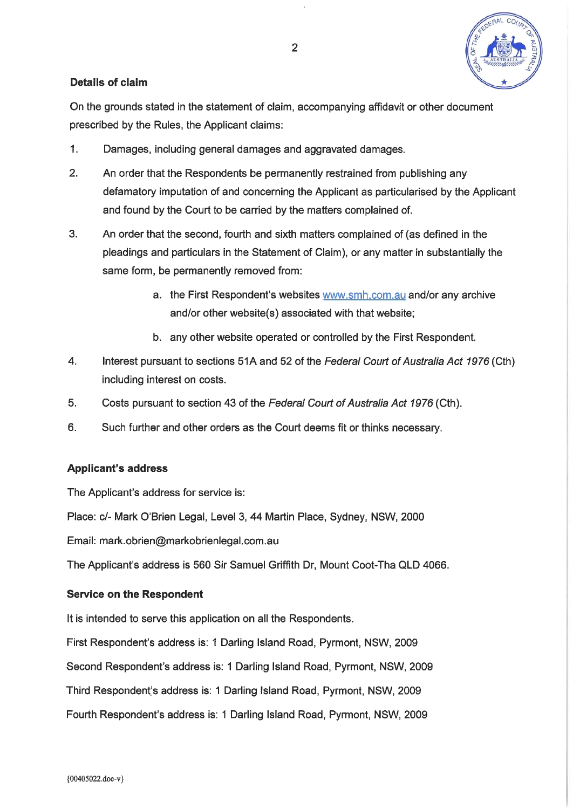

### Details of claim

On the grounds stated in the statement of claim, accompanying affidavit or other document prescribed by the Rules, the Applicant claims:

- $1<sub>1</sub>$ Damages, including general damages and aggravated damages.
- $2<sup>1</sup>$ An order that the Respondents be permanently restrained from publishing any defamatory imputation of and concerning the Applicant as particularised by the Applicant and found by the Court to be carried by the matters complained of.
- $3<sub>1</sub>$ An order that the second, fourth and sixth matters complained of (as defined in the pleadings and particulars in the Statement of Claim), or any matter in substantially the same form, be permanently removed from:
	- a. the First Respondent's websites www.smh.com.au and/or any archive and/or other website(s) associated with that website;
	- b. any other website operated or controlled by the First Respondent.
- $\overline{4}$ . Interest pursuant to sections 51A and 52 of the Federal Court of Australia Act 1976 (Cth) including interest on costs.
- 5. Costs pursuant to section 43 of the Federal Court of Australia Act 1976 (Cth).
- $6.$ Such further and other orders as the Court deems fit or thinks necessary.

#### **Applicant's address**

The Applicant's address for service is:

Place: c/- Mark O'Brien Legal, Level 3, 44 Martin Place, Sydney, NSW, 2000

Email: mark.obrien@markobrienlegal.com.au

The Applicant's address is 560 Sir Samuel Griffith Dr, Mount Coot-Tha QLD 4066.

#### **Service on the Respondent**

It is intended to serve this application on all the Respondents.

First Respondent's address is: 1 Darling Island Road, Pyrmont, NSW, 2009

Second Respondent's address is: 1 Darling Island Road, Pyrmont, NSW, 2009

Third Respondent's address is: 1 Darling Island Road, Pyrmont, NSW, 2009

Fourth Respondent's address is: 1 Darling Island Road, Pyrmont, NSW, 2009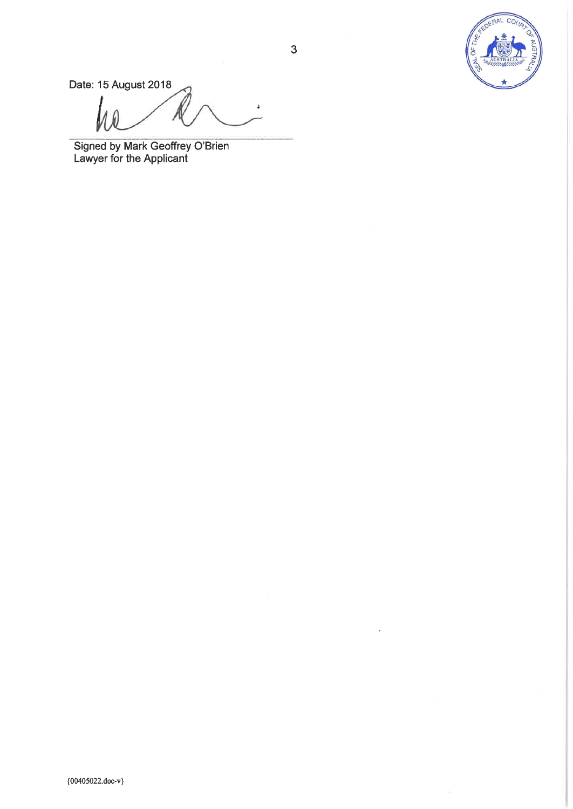

Date: 15 August 2018

Signed by Mark Geoffrey O'Brien<br>Lawyer for the Applicant